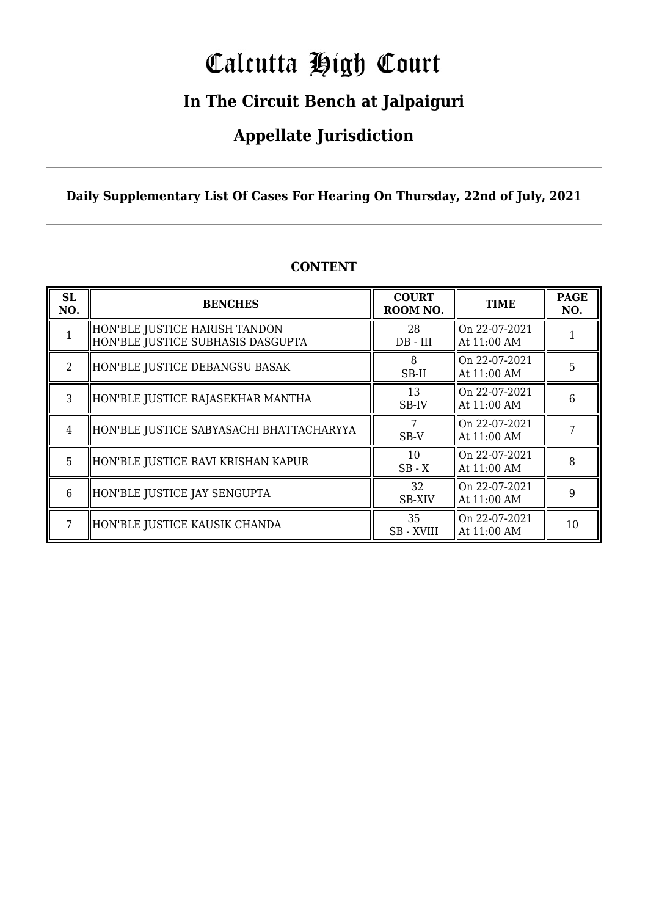# Calcutta High Court

### **In The Circuit Bench at Jalpaiguri**

### **Appellate Jurisdiction**

**Daily Supplementary List Of Cases For Hearing On Thursday, 22nd of July, 2021**

| <b>SL</b><br>NO.            | <b>BENCHES</b>                                                     | <b>COURT</b><br>ROOM NO. | <b>TIME</b>                                          | <b>PAGE</b><br>NO. |
|-----------------------------|--------------------------------------------------------------------|--------------------------|------------------------------------------------------|--------------------|
|                             | HON'BLE JUSTICE HARISH TANDON<br>HON'BLE JUSTICE SUBHASIS DASGUPTA | 28<br>DB - III           | $\parallel$ On 22-07-2021<br>$\parallel$ At 11:00 AM |                    |
| $\mathcal{D}_{\mathcal{L}}$ | HON'BLE JUSTICE DEBANGSU BASAK                                     | 8<br>SB-II               | On 22-07-2021<br>At 11:00 AM                         | 5                  |
| 3                           | HON'BLE JUSTICE RAJASEKHAR MANTHA                                  | 13<br>SB-IV              | On 22-07-2021<br>  At 11:00 AM                       | 6                  |
| 4                           | HON'BLE JUSTICE SABYASACHI BHATTACHARYYA                           | 7<br>SB-V                | $\parallel$ On 22-07-2021<br>  At 11:00 AM           |                    |
| 5                           | HON'BLE JUSTICE RAVI KRISHAN KAPUR                                 | 10<br>$SB - X$           | $\parallel$ On 22-07-2021<br>  At 11:00 AM           | 8                  |
| 6                           | HON'BLE JUSTICE JAY SENGUPTA                                       | 32<br><b>SB-XIV</b>      | lon 22-07-2021<br>  At 11:00 AM                      | 9                  |
|                             | HON'BLE JUSTICE KAUSIK CHANDA                                      | 35<br><b>SB-XVIII</b>    | $\parallel$ On 22-07-2021<br>  At 11:00 AM           | 10                 |

#### **CONTENT**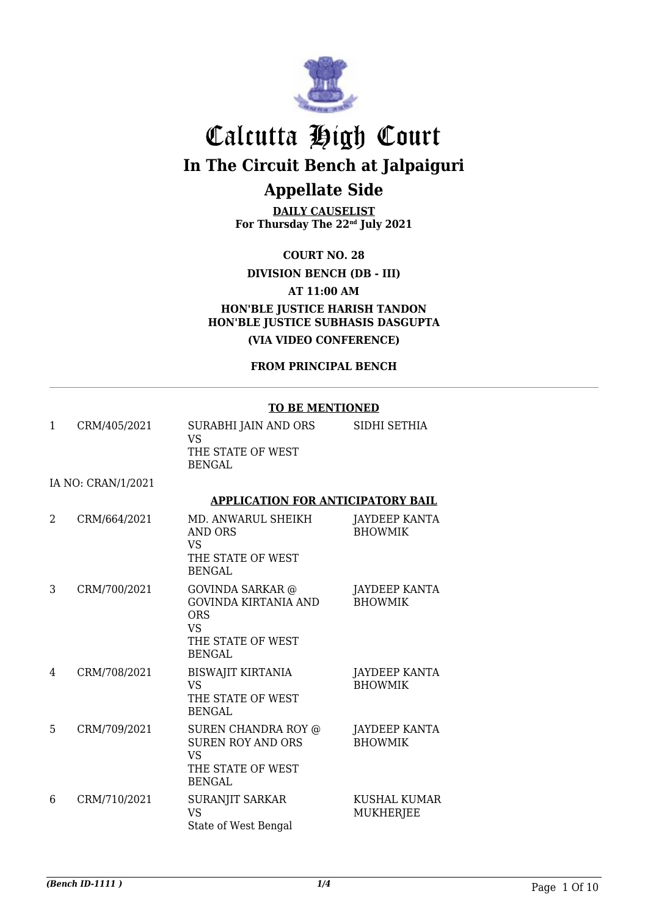

**DAILY CAUSELIST For Thursday The 22nd July 2021**

**COURT NO. 28**

#### **DIVISION BENCH (DB - III)**

**AT 11:00 AM**

**HON'BLE JUSTICE HARISH TANDON HON'BLE JUSTICE SUBHASIS DASGUPTA (VIA VIDEO CONFERENCE)**

**FROM PRINCIPAL BENCH**

#### **TO BE MENTIONED**

| 1 | CRM/405/2021       | SURABHI JAIN AND ORS<br><b>VS</b><br>THE STATE OF WEST<br><b>BENGAL</b>                                          | SIDHI SETHIA                           |
|---|--------------------|------------------------------------------------------------------------------------------------------------------|----------------------------------------|
|   | IA NO: CRAN/1/2021 |                                                                                                                  |                                        |
|   |                    | <b>APPLICATION FOR ANTICIPATORY BAIL</b>                                                                         |                                        |
| 2 | CRM/664/2021       | MD. ANWARUL SHEIKH<br>AND ORS<br><b>VS</b><br>THE STATE OF WEST<br><b>BENGAL</b>                                 | <b>JAYDEEP KANTA</b><br><b>BHOWMIK</b> |
| 3 | CRM/700/2021       | GOVINDA SARKAR @<br><b>GOVINDA KIRTANIA AND</b><br><b>ORS</b><br><b>VS</b><br>THE STATE OF WEST<br><b>BENGAL</b> | JAYDEEP KANTA<br><b>BHOWMIK</b>        |
| 4 | CRM/708/2021       | <b>BISWAJIT KIRTANIA</b><br><b>VS</b><br>THE STATE OF WEST<br><b>BENGAL</b>                                      | <b>JAYDEEP KANTA</b><br><b>BHOWMIK</b> |
| 5 | CRM/709/2021       | <b>SUREN CHANDRA ROY @</b><br><b>SUREN ROY AND ORS</b><br><b>VS</b><br>THE STATE OF WEST<br><b>BENGAL</b>        | <b>JAYDEEP KANTA</b><br><b>BHOWMIK</b> |
| 6 | CRM/710/2021       | SURANJIT SARKAR<br><b>VS</b><br>State of West Bengal                                                             | KUSHAL KUMAR<br><b>MUKHERJEE</b>       |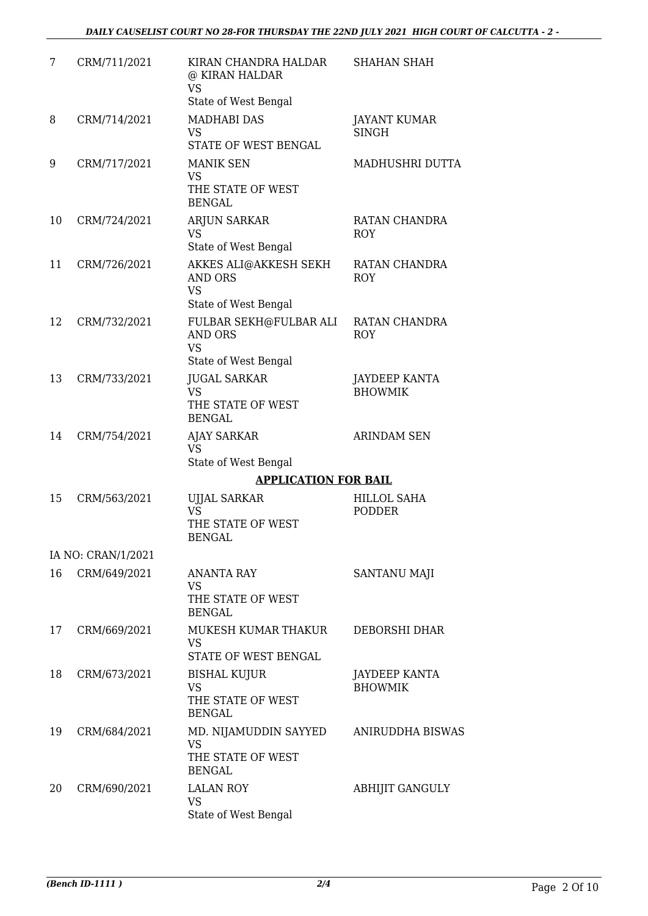| 7  | CRM/711/2021       | KIRAN CHANDRA HALDAR<br>@ KIRAN HALDAR<br><b>VS</b><br>State of West Bengal  | <b>SHAHAN SHAH</b>                  |
|----|--------------------|------------------------------------------------------------------------------|-------------------------------------|
| 8  | CRM/714/2021       | <b>MADHABI DAS</b><br><b>VS</b><br>STATE OF WEST BENGAL                      | <b>JAYANT KUMAR</b><br><b>SINGH</b> |
| 9  | CRM/717/2021       | <b>MANIK SEN</b><br><b>VS</b><br>THE STATE OF WEST<br><b>BENGAL</b>          | MADHUSHRI DUTTA                     |
| 10 | CRM/724/2021       | <b>ARJUN SARKAR</b><br><b>VS</b><br>State of West Bengal                     | RATAN CHANDRA<br><b>ROY</b>         |
| 11 | CRM/726/2021       | AKKES ALI@AKKESH SEKH<br><b>AND ORS</b><br><b>VS</b><br>State of West Bengal | RATAN CHANDRA<br><b>ROY</b>         |
| 12 | CRM/732/2021       | FULBAR SEKH@FULBAR ALI<br>AND ORS<br><b>VS</b><br>State of West Bengal       | RATAN CHANDRA<br><b>ROY</b>         |
| 13 | CRM/733/2021       | <b>JUGAL SARKAR</b><br><b>VS</b><br>THE STATE OF WEST<br><b>BENGAL</b>       | JAYDEEP KANTA<br><b>BHOWMIK</b>     |
| 14 | CRM/754/2021       | <b>AJAY SARKAR</b><br><b>VS</b><br>State of West Bengal                      | <b>ARINDAM SEN</b>                  |
|    |                    | <b>APPLICATION FOR BAIL</b>                                                  |                                     |
| 15 | CRM/563/2021       | <b>UJJAL SARKAR</b><br><b>VS</b><br>THE STATE OF WEST<br>BENGAL              | <b>HILLOL SAHA</b><br><b>PODDER</b> |
|    | IA NO: CRAN/1/2021 |                                                                              |                                     |
| 16 | CRM/649/2021       | <b>ANANTA RAY</b><br><b>VS</b><br>THE STATE OF WEST<br><b>BENGAL</b>         | SANTANU MAJI                        |
| 17 | CRM/669/2021       | MUKESH KUMAR THAKUR<br><b>VS</b><br>STATE OF WEST BENGAL                     | DEBORSHI DHAR                       |
| 18 | CRM/673/2021       | <b>BISHAL KUJUR</b><br><b>VS</b><br>THE STATE OF WEST<br><b>BENGAL</b>       | JAYDEEP KANTA<br><b>BHOWMIK</b>     |
| 19 | CRM/684/2021       | MD. NIJAMUDDIN SAYYED<br><b>VS</b><br>THE STATE OF WEST<br><b>BENGAL</b>     | ANIRUDDHA BISWAS                    |
| 20 | CRM/690/2021       | <b>LALAN ROY</b><br><b>VS</b><br>State of West Bengal                        | <b>ABHIJIT GANGULY</b>              |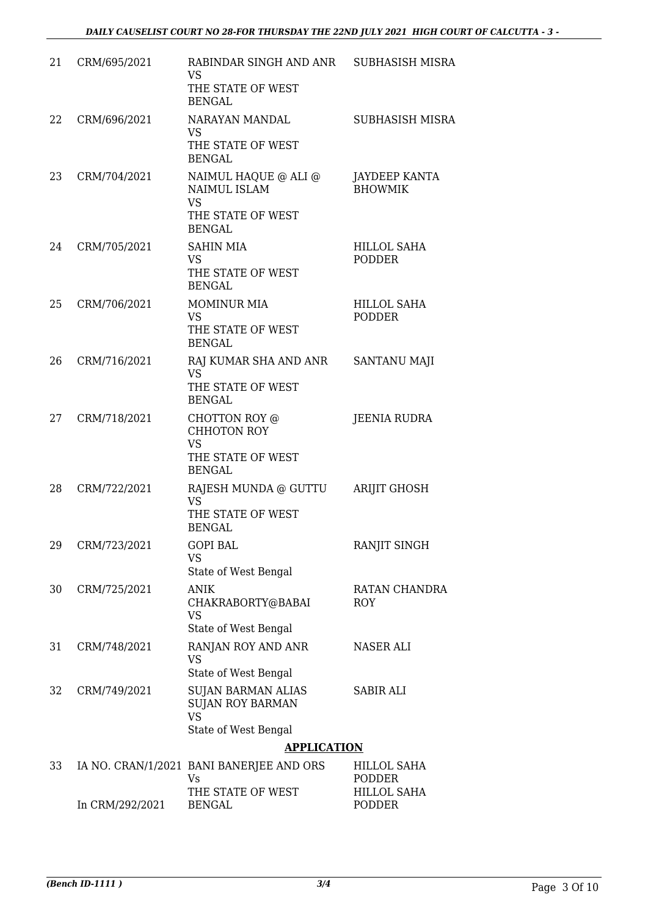| 21 | CRM/695/2021    | RABINDAR SINGH AND ANR<br><b>VS</b><br>THE STATE OF WEST<br><b>BENGAL</b>                      | SUBHASISH MISRA                     |
|----|-----------------|------------------------------------------------------------------------------------------------|-------------------------------------|
| 22 | CRM/696/2021    | NARAYAN MANDAL<br>VS<br>THE STATE OF WEST<br><b>BENGAL</b>                                     | SUBHASISH MISRA                     |
| 23 | CRM/704/2021    | NAIMUL HAQUE @ ALI @<br><b>NAIMUL ISLAM</b><br><b>VS</b><br>THE STATE OF WEST<br><b>BENGAL</b> | JAYDEEP KANTA<br><b>BHOWMIK</b>     |
| 24 | CRM/705/2021    | <b>SAHIN MIA</b><br>VS<br>THE STATE OF WEST<br><b>BENGAL</b>                                   | HILLOL SAHA<br><b>PODDER</b>        |
| 25 | CRM/706/2021    | <b>MOMINUR MIA</b><br>VS.<br>THE STATE OF WEST<br><b>BENGAL</b>                                | <b>HILLOL SAHA</b><br><b>PODDER</b> |
| 26 | CRM/716/2021    | RAJ KUMAR SHA AND ANR<br>VS.<br>THE STATE OF WEST<br><b>BENGAL</b>                             | SANTANU MAJI                        |
| 27 | CRM/718/2021    | CHOTTON ROY @<br>CHHOTON ROY<br><b>VS</b><br>THE STATE OF WEST<br><b>BENGAL</b>                | <b>JEENIA RUDRA</b>                 |
| 28 | CRM/722/2021    | RAJESH MUNDA @ GUTTU<br>VS.<br>THE STATE OF WEST<br><b>BENGAL</b>                              | <b>ARIJIT GHOSH</b>                 |
| 29 | CRM/723/2021    | <b>GOPI BAL</b><br><b>VS</b><br>State of West Bengal                                           | RANJIT SINGH                        |
| 30 | CRM/725/2021    | <b>ANIK</b><br>CHAKRABORTY@BABAI<br><b>VS</b><br>State of West Bengal                          | RATAN CHANDRA<br><b>ROY</b>         |
| 31 | CRM/748/2021    | RANJAN ROY AND ANR<br>VS<br>State of West Bengal                                               | NASER ALI                           |
| 32 | CRM/749/2021    | <b>SUJAN BARMAN ALIAS</b><br><b>SUJAN ROY BARMAN</b><br><b>VS</b><br>State of West Bengal      | <b>SABIR ALI</b>                    |
|    |                 | <b>APPLICATION</b>                                                                             |                                     |
| 33 |                 | IA NO. CRAN/1/2021 BANI BANERJEE AND ORS<br>Vs                                                 | HILLOL SAHA<br>PODDER               |
|    | In CRM/292/2021 | THE STATE OF WEST<br><b>BENGAL</b>                                                             | HILLOL SAHA<br>PODDER               |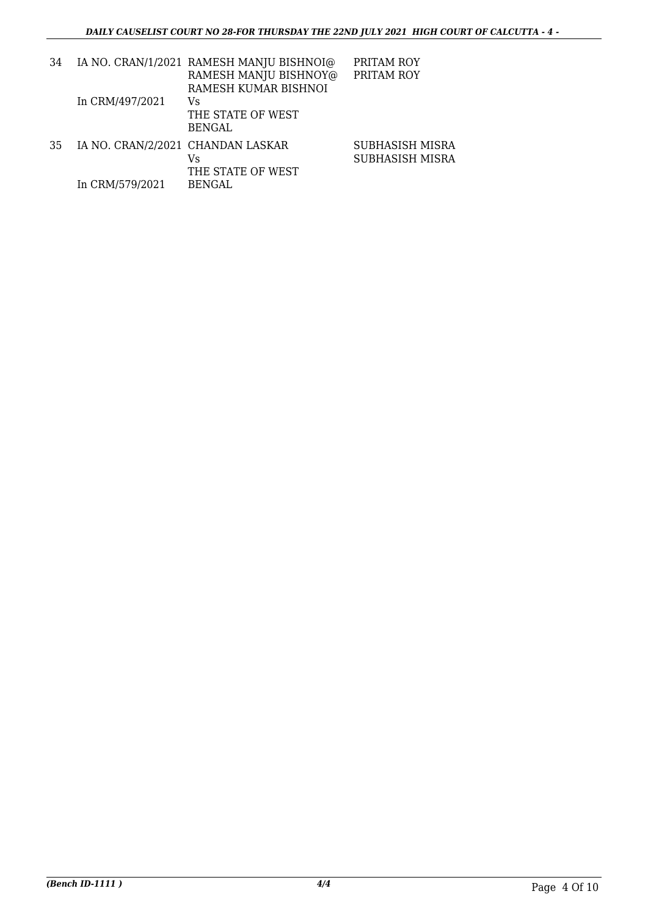| 34 |                                   | IA NO. CRAN/1/2021 RAMESH MANJU BISHNOI@ | PRITAM ROY      |
|----|-----------------------------------|------------------------------------------|-----------------|
|    |                                   | RAMESH MANJU BISHNOY@                    | PRITAM ROY      |
|    |                                   | RAMESH KUMAR BISHNOI                     |                 |
|    | In CRM/497/2021                   | Vs                                       |                 |
|    |                                   | THE STATE OF WEST                        |                 |
|    |                                   | <b>BENGAL</b>                            |                 |
| 35 | IA NO. CRAN/2/2021 CHANDAN LASKAR |                                          | SUBHASISH MISRA |
|    |                                   | Vs                                       | SUBHASISH MISRA |
|    |                                   | THE STATE OF WEST                        |                 |
|    | In CRM/579/2021                   | BENGAL                                   |                 |
|    |                                   |                                          |                 |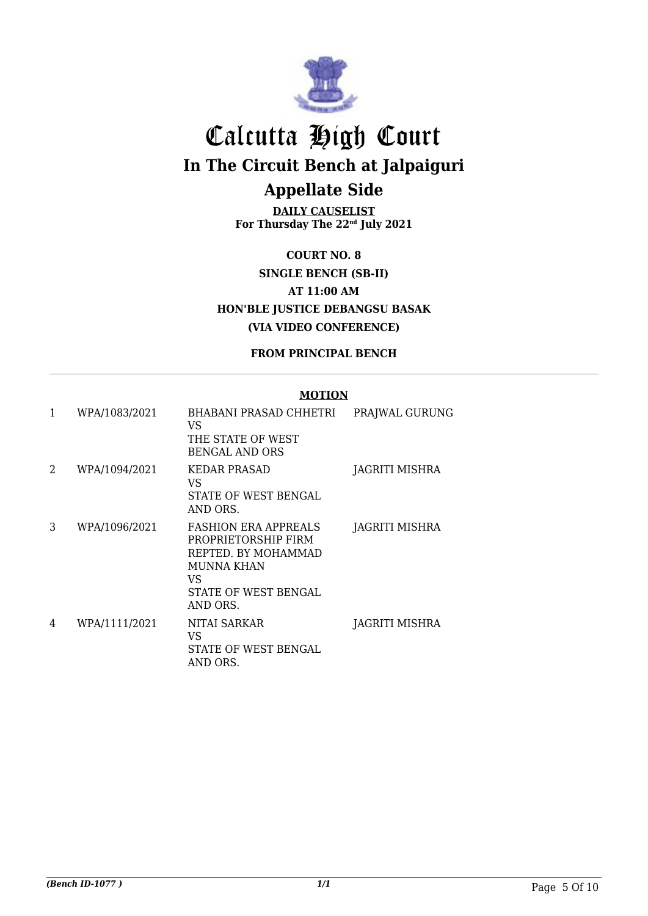

**DAILY CAUSELIST For Thursday The 22nd July 2021**

**COURT NO. 8 SINGLE BENCH (SB-II) AT 11:00 AM HON'BLE JUSTICE DEBANGSU BASAK (VIA VIDEO CONFERENCE)**

#### **FROM PRINCIPAL BENCH**

| 1 | WPA/1083/2021 | BHABANI PRASAD CHHETRI<br>VS.<br>THE STATE OF WEST<br><b>BENGAL AND ORS</b>                                                               | PRAJWAL GURUNG |
|---|---------------|-------------------------------------------------------------------------------------------------------------------------------------------|----------------|
| 2 | WPA/1094/2021 | <b>KEDAR PRASAD</b><br>VS.<br>STATE OF WEST BENGAL<br>AND ORS.                                                                            | JAGRITI MISHRA |
| 3 | WPA/1096/2021 | <b>FASHION ERA APPREALS</b><br>PROPRIETORSHIP FIRM<br>REPTED. BY MOHAMMAD<br><b>MUNNA KHAN</b><br>VS.<br>STATE OF WEST BENGAL<br>AND ORS. | JAGRITI MISHRA |
| 4 | WPA/1111/2021 | NITAI SARKAR<br>VS<br>STATE OF WEST BENGAL<br>AND ORS.                                                                                    | JAGRITI MISHRA |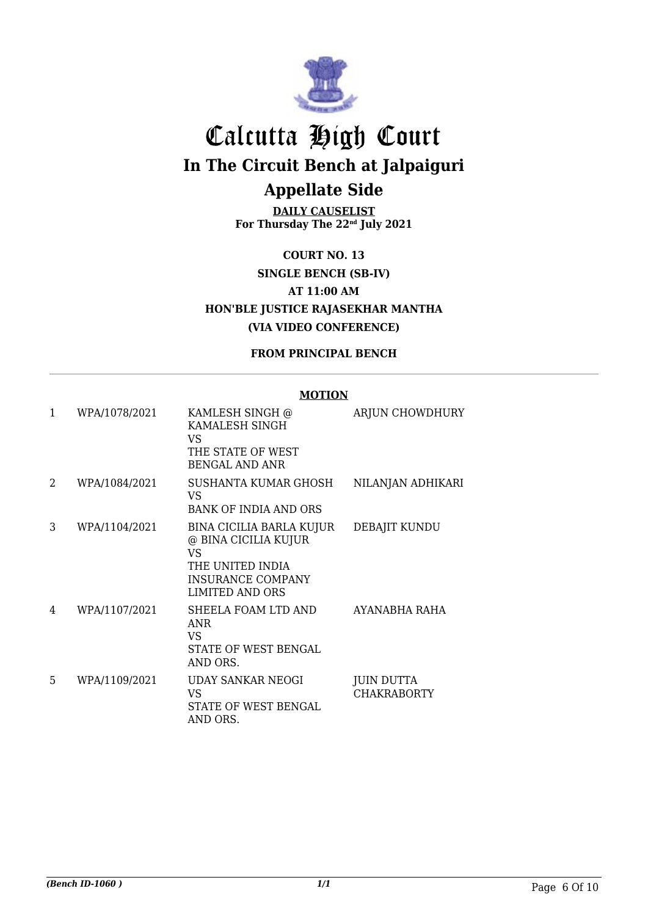

**DAILY CAUSELIST For Thursday The 22nd July 2021**

**COURT NO. 13 SINGLE BENCH (SB-IV) AT 11:00 AM HON'BLE JUSTICE RAJASEKHAR MANTHA (VIA VIDEO CONFERENCE)**

#### **FROM PRINCIPAL BENCH**

| $\mathbf{1}$ | WPA/1078/2021 | KAMLESH SINGH @<br>KAMALESH SINGH<br>VS                                                                                           | <b>ARJUN CHOWDHURY</b>           |
|--------------|---------------|-----------------------------------------------------------------------------------------------------------------------------------|----------------------------------|
|              |               | THE STATE OF WEST<br><b>BENGAL AND ANR</b>                                                                                        |                                  |
| 2            | WPA/1084/2021 | SUSHANTA KUMAR GHOSH<br>VS.<br><b>BANK OF INDIA AND ORS</b>                                                                       | NILANJAN ADHIKARI                |
| 3            | WPA/1104/2021 | BINA CICILIA BARLA KUJUR<br>@ BINA CICILIA KUJUR<br>VS.<br>THE UNITED INDIA<br><b>INSURANCE COMPANY</b><br><b>LIMITED AND ORS</b> | DEBAJIT KUNDU                    |
| 4            | WPA/1107/2021 | SHEELA FOAM LTD AND<br><b>ANR</b><br>VS.<br>STATE OF WEST BENGAL<br>AND ORS.                                                      | AYANABHA RAHA                    |
| 5            | WPA/1109/2021 | UDAY SANKAR NEOGI<br>VS<br>STATE OF WEST BENGAL<br>AND ORS.                                                                       | JUIN DUTTA<br><b>CHAKRABORTY</b> |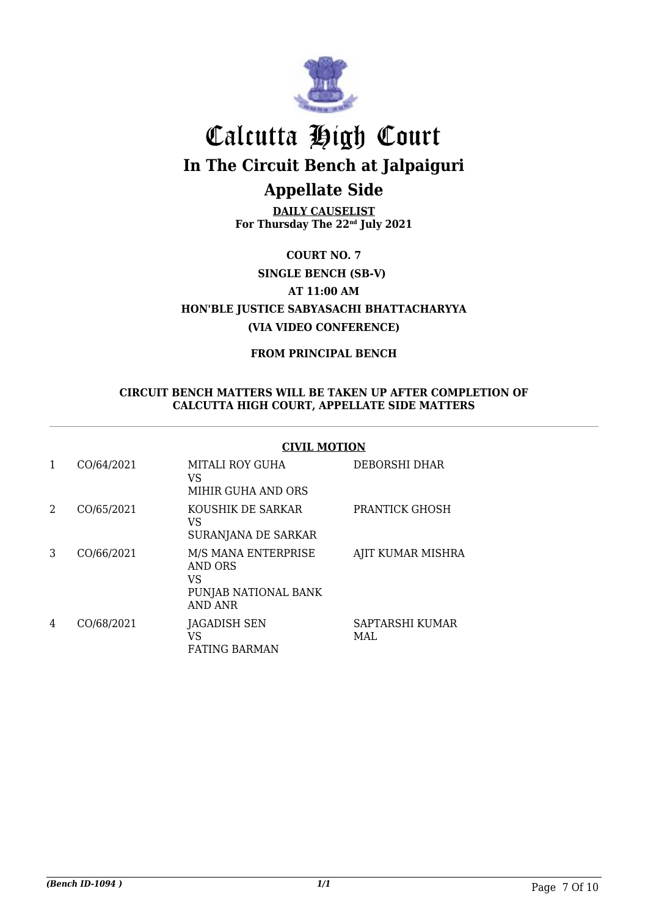

**DAILY CAUSELIST For Thursday The 22nd July 2021**

**COURT NO. 7 AT 11:00 AM HON'BLE JUSTICE SABYASACHI BHATTACHARYYA (VIA VIDEO CONFERENCE) SINGLE BENCH (SB-V)**

**FROM PRINCIPAL BENCH**

#### **CIRCUIT BENCH MATTERS WILL BE TAKEN UP AFTER COMPLETION OF CALCUTTA HIGH COURT, APPELLATE SIDE MATTERS**

#### **CIVIL MOTION**

| 1 | CO/64/2021 | MITALI ROY GUHA<br>VS<br>MIHIR GUHA AND ORS                                           | DEBORSHI DHAR           |
|---|------------|---------------------------------------------------------------------------------------|-------------------------|
| 2 | CO/65/2021 | KOUSHIK DE SARKAR<br>VS<br>SURANJANA DE SARKAR                                        | <b>PRANTICK GHOSH</b>   |
| 3 | CO/66/2021 | M/S MANA ENTERPRISE<br><b>AND ORS</b><br>VS<br>PUNJAB NATIONAL BANK<br><b>AND ANR</b> | AJIT KUMAR MISHRA       |
| 4 | CO/68/2021 | JAGADISH SEN<br>VS<br><b>FATING BARMAN</b>                                            | SAPTARSHI KUMAR<br>MAL. |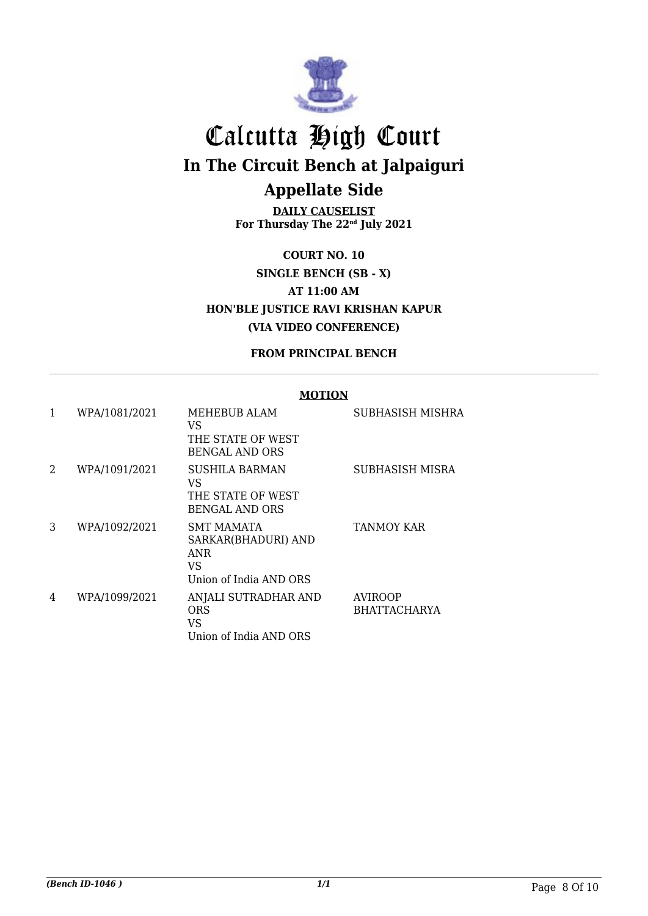

**DAILY CAUSELIST For Thursday The 22nd July 2021**

**COURT NO. 10 SINGLE BENCH (SB - X) AT 11:00 AM HON'BLE JUSTICE RAVI KRISHAN KAPUR (VIA VIDEO CONFERENCE)**

**FROM PRINCIPAL BENCH**

| 1 | WPA/1081/2021 | <b>MEHEBUB ALAM</b><br>VS<br>THE STATE OF WEST<br><b>BENGAL AND ORS</b>   | SUBHASISH MISHRA                      |
|---|---------------|---------------------------------------------------------------------------|---------------------------------------|
| 2 | WPA/1091/2021 | <b>SUSHILA BARMAN</b><br>VS<br>THE STATE OF WEST<br><b>BENGAL AND ORS</b> | SUBHASISH MISRA                       |
| 3 | WPA/1092/2021 | SMT MAMATA<br>SARKAR(BHADURI) AND<br>ANR<br>VS<br>Union of India AND ORS  | <b>TANMOY KAR</b>                     |
| 4 | WPA/1099/2021 | ANJALI SUTRADHAR AND<br>ORS<br>VS<br>Union of India AND ORS               | <b>AVIROOP</b><br><b>BHATTACHARYA</b> |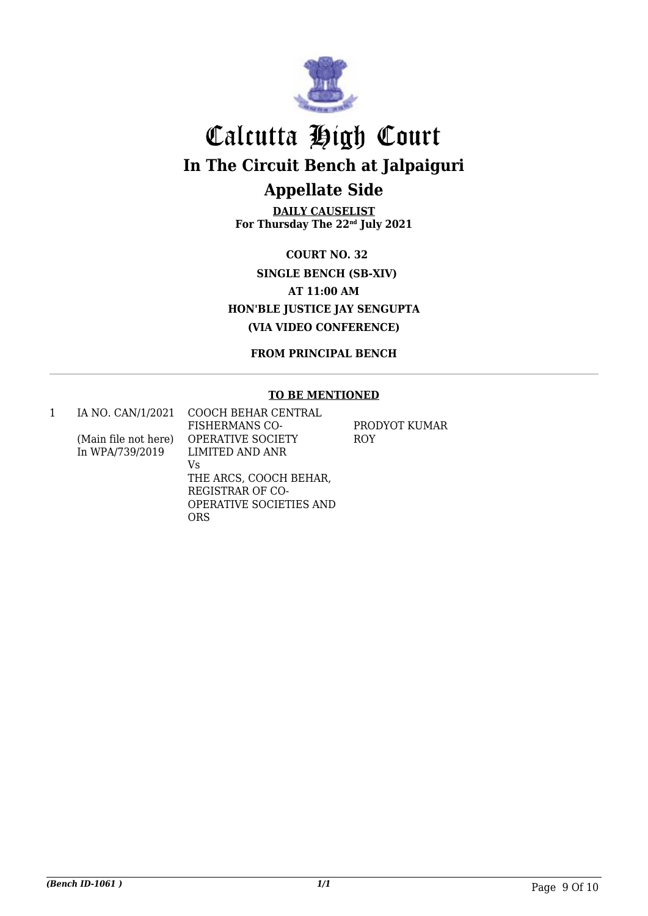

**DAILY CAUSELIST For Thursday The 22nd July 2021**

**AT 11:00 AM HON'BLE JUSTICE JAY SENGUPTA (VIA VIDEO CONFERENCE) SINGLE BENCH (SB-XIV) COURT NO. 32**

**FROM PRINCIPAL BENCH**

#### **TO BE MENTIONED**

1 IA NO. CAN/1/2021 (Main file not here) In WPA/739/2019 COOCH BEHAR CENTRAL FISHERMANS CO-OPERATIVE SOCIETY LIMITED AND ANR Vs THE ARCS, COOCH BEHAR, REGISTRAR OF CO-OPERATIVE SOCIETIES AND ORS PRODYOT KUMAR ROY

*(Bench ID-1061 ) 1/1* Page 9 Of 10